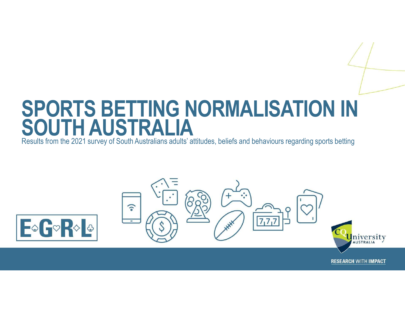## SPORTS BETTING NORMALISATION IN SOUTH AUSTRALIA

Results from the 2021 survey of South Australians adults' attitudes, beliefs and behaviours regarding sports betting



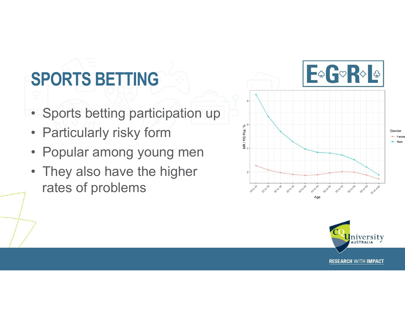### SPORTS BETTING

- 
- 
- 
- **SPORTS BETTING**<br>• Sports betting participation up<br>• Particularly risky form<br>• Popular among young men<br>• They also have the higher rates of problems rates of problems



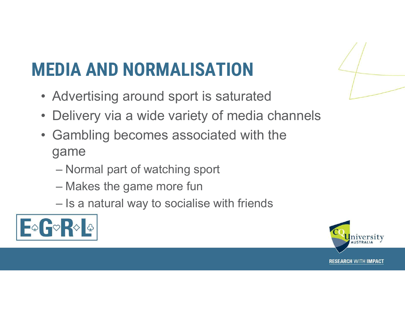# **IEDIA AND NORMALISATION**<br>• Advertising around sport is saturated<br>• Delivery via a wide variety of media channels MEDIA AND NORMALISATION

- 
- 
- **IEDIA AND NORMALISATION**<br>• Advertising around sport is saturated<br>• Delivery via a wide variety of media channels<br>• Gambling becomes associated with the **IEDIA AND NORMALISATION**<br>• Advertising around sport is saturated<br>• Delivery via a wide variety of media channels<br>• Gambling becomes associated with the game<br>– Normal part of watching sport game **DIA AND NORMALISATION**<br>Advertising around sport is saturate<br>Delivery via a wide variety of media<br>Gambling becomes associated with<br>yame<br>— Normal part of watching sport<br>— Makes the game more fun<br>— Is a natural way to social **DIA AND NORMALISATION**<br>Advertising around sport is saturated<br>Delivery via a wide variety of media cha<br>Gambling becomes associated with the<br>game<br>— Normal part of watching sport<br>— Makes the game more fun<br>— Is a natural way Mortising around sport is saturated<br>Delivery via a wide variety of media channels<br>Sambling becomes associated with the<br>game<br>— Normal part of watching sport<br>— Makes the game more fun<br>— Is a natural way to socialise with fr
	-
	-
	-



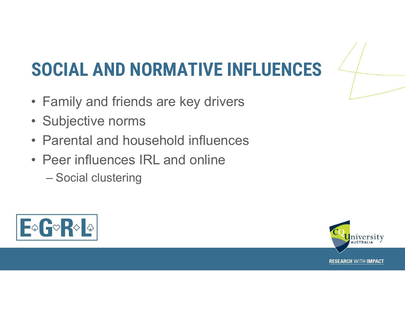## **SOCIAL AND NORMATIVE INFLUENCES**<br>• Family and friends are key drivers<br>• Subjective norms **SOCIAL AND NORMATIVE**<br>• Family and friends are key drive<br>• Subjective norms<br>• Parental and household influer **SOCIAL AND NORMATIVE INFLUENCES**<br>• Family and friends are key drivers<br>• Subjective norms<br>• Parental and household influences<br>• Peer influences IRL and online **SOCIAL AND NORMATIVE INFLUENCE**<br>• Family and friends are key drivers<br>• Subjective norms<br>• Parental and household influences<br>• Peer influences IRL and online<br>– Social clustering **CIAL AND NORMATIVE**<br>Family and friends are key drive<br>Parental and household influen<br>Peer influences IRL and online<br>– Social clustering SOCIAL AND NORMATIVE INFLUENCES

- 
- 
- 
- -



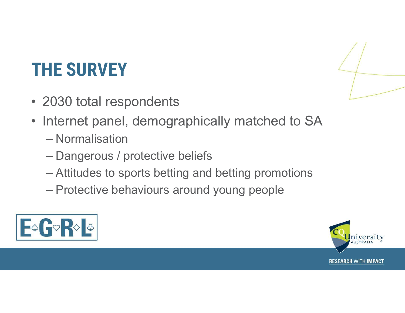## THE SURVEY

- 
- THE SURVEY<br>• 2030 total respondents<br>• Internet panel, demographically mat **HE SURVEY**<br>2030 total respondents<br>nternet panel, demographicall<br>— Normalisation<br>— Dangerous / protective beliefs<br>— Attitudes to sports betting and b **HE SURVEY**<br>2030 total respondents<br>nternet panel, demographically matched<br>- Normalisation<br>- Dangerous / protective beliefs<br>- Attitudes to sports betting and betting promot<br>- Protective behaviours around young people FRIE SURVEY<br>
Manuscriptudes to spondents<br>
Thermet panel, demographically matched to SA<br>
- Normalisation<br>
- Dangerous / protective beliefs<br>
- Attitudes to sports betting and betting promotions<br>
- Protective behaviours aroun FRET SURVEY<br>
Protokolar respondents<br>
Internet panel, demographically matched to SA<br>
- Normalisation<br>
- Dangerous / protective beliefs<br>
- Attitudes to sports betting and betting promotions<br>
- Protective behaviours around yo
	-
	-
	-
	-





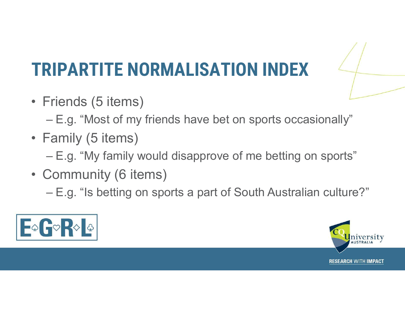## **TRIPARTITE NORMALIS**<br>• Friends (5 items)<br>– E.g. "Most of my friends have **RIPARTITE NORMALISATION INDEX**<br>
Friends (5 items)<br>
– E.g. "Most of my friends have bet on sports occasionally"<br>
Family (5 items)<br>
– F.g. "My family would disconse of me betting as easy of" **TRIPARTITE NORMALIS**<br>• Friends (5 items)<br> $-E.g.$  "Most of my friends have<br>• Family (5 items)<br> $-E.g.$  "My family would disappre **Example 2014 Community Community Community**<br>
Friends (5 items)<br>
- E.g. "Most of my friends have bet on sports occasionally"<br>
Family (5 items)<br>
- E.g. "My family would disapprove of me betting on sports"<br>
Community (6 item **TRIPARTITE NORMALISA**<br>• Friends (5 items)<br>- E.g. "Most of my friends have b<br>• Family (5 items)<br>- E.g. "My family would disappro"<br>• Community (6 items)<br>- E.g. "Is betting on sports a part Friends (5 items)<br>
Friends (5 items)<br>
- E.g. "Most of my friends have bet on sports occasionally"<br>
Family (5 items)<br>
- E.g. "My family would disapprove of me betting on sports"<br>
Community (6 items)<br>
- E.g. "Is betting on s TRIPARTITE NORMALISATION INDEX

- -
- -
- -



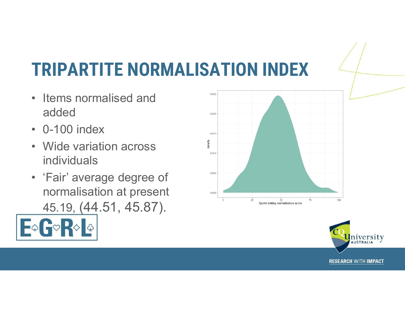## **TRIPARTITE NORMALIS<br>• Items normalised and<br>added<br>• 0-100 index TRIPARTITE NORMALIS**<br>• Items normalised and<br>added<br>• 0-100 index<br>• Wide variation across **TRIPARTITE NORMALIS**<br>• Items normalised and<br>added<br>• 0-100 index<br>• Wide variation across<br>individuals<br>• 'Fair' average degree of TRIPARTITE NORMALISATION INDEX

- added
- 
- individuals
- **TRIPARTITE NORMALISA**<br>• Items normalised and<br>• 0-100 index<br>• Wide variation across<br>• individuals<br>• 'Fair' average degree of<br>normalisation at present<br>45.19, (44.51, 45.87). normalisation at present was 45.19, (44.51, 45.87).





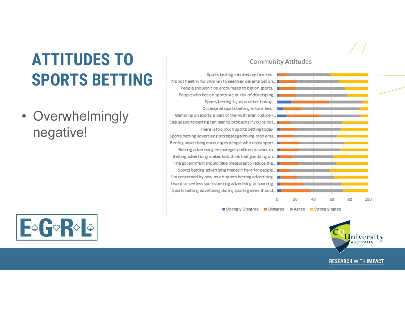## **ATTITUDES TO**<br> **SPORTS BETTING**<br>
Propleshing Propleshing and Propleshing and Propleshing and Propleshing and Propleshing and Propleshing and Propleshing and Propries Detring and Propries Detring and Propries Detring and P ATTITUDES TO SPORTS BETTING

negative!



#### Sports betting can destroy families. Sports betting is just another hobby. Occasional sports betting is harmless. Betting advertising makes kids think that gambling on... The government should take measures to reduce the... Sports betting advertising makes it hard for people... I'm concerned by how much sports betting advertising... I want to see less sports betting advertising at sporting... Sports betting advertising during sports games should...  $\Omega$ 20 40 60 80 100

■ Strongly Disagree ■ Disagree ■ Agree ■ Strongly agree



#### **Community Attitudes**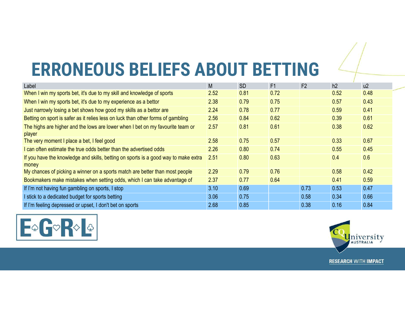## ERRONEOUS BELIEFS ABOUT BETTING

| <b>ERRONEOUS BELIEFS ABOUT BETTING</b>                                                       |      |           |      |                |      |      |
|----------------------------------------------------------------------------------------------|------|-----------|------|----------------|------|------|
| Label                                                                                        | M    | <b>SD</b> | F1   | F <sub>2</sub> | h2   | u2   |
| When I win my sports bet, it's due to my skill and knowledge of sports                       | 2.52 | 0.81      | 0.72 |                | 0.52 | 0.48 |
| When I win my sports bet, it's due to my experience as a bettor                              | 2.38 | 0.79      | 0.75 |                | 0.57 | 0.43 |
| Just narrowly losing a bet shows how good my skills as a bettor are                          | 2.24 | 0.78      | 0.77 |                | 0.59 | 0.41 |
| Betting on sport is safer as it relies less on luck than other forms of gambling             | 2.56 | 0.84      | 0.62 |                | 0.39 | 0.61 |
| The highs are higher and the lows are lower when I bet on my favourite team or<br>player     | 2.57 | 0.81      | 0.61 |                | 0.38 | 0.62 |
| The very moment I place a bet, I feel good                                                   | 2.58 | 0.75      | 0.57 |                | 0.33 | 0.67 |
| I can often estimate the true odds better than the advertised odds                           | 2.26 | 0.80      | 0.74 |                | 0.55 | 0.45 |
| If you have the knowledge and skills, betting on sports is a good way to make extra<br>money | 2.51 | 0.80      | 0.63 |                | 0.4  | 0.6  |
|                                                                                              | 2.29 | 0.79      | 0.76 |                | 0.58 | 0.42 |
| My chances of picking a winner on a sports match are better than most people                 |      |           | 0.64 |                | 0.41 | 0.59 |
| Bookmakers make mistakes when setting odds, which I can take advantage of                    | 2.37 | 0.77      |      |                |      |      |
| If I'm not having fun gambling on sports, I stop                                             | 3.10 | 0.69      |      | 0.73           | 0.53 | 0.47 |
| I stick to a dedicated budget for sports betting                                             | 3.06 | 0.75      |      | 0.58           | 0.34 | 0.66 |



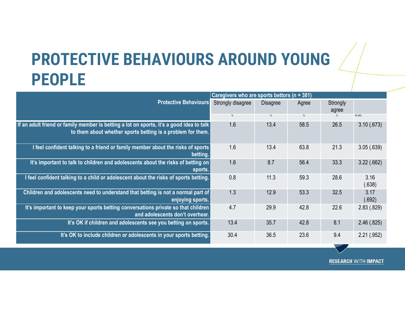### PROTECTIVE BEHAVIOURS AROUND YOUNG PEOPLE

| <b>PROTECTIVE BEHAVIOURS AROUND YOUNG</b>                                                                                                               |                                                 |                         |            |                   |                             |  |  |
|---------------------------------------------------------------------------------------------------------------------------------------------------------|-------------------------------------------------|-------------------------|------------|-------------------|-----------------------------|--|--|
| <b>PEOPLE</b>                                                                                                                                           |                                                 |                         |            |                   |                             |  |  |
|                                                                                                                                                         | Caregivers who are sports bettors ( $n = 381$ ) |                         |            |                   |                             |  |  |
| <b>Protective Behaviours</b>                                                                                                                            | Strongly disagree<br>$\%$                       | <b>Disagree</b><br>$\%$ | Agree<br>% | Strongly<br>agree | M(SD)                       |  |  |
| If an adult friend or family member is betting a lot on sports, it's a good idea to talk<br>to them about whether sports betting is a problem for them. | 1.6                                             | 13.4                    | 58.5       | 26.5              | 3.10(.673)                  |  |  |
| I feel confident talking to a friend or family member about the risks of sports<br>betting.                                                             | 1.6                                             | 13.4                    | 63.8       | 21.3              | 3.05(.639)                  |  |  |
| It's important to talk to children and adolescents about the risks of betting on<br>sports.                                                             | 1.6                                             | 8.7                     | 56.4       | 33.3              | 3.22(.662)                  |  |  |
| I feel confident talking to a child or adolescent about the risks of sports betting.                                                                    | 0.8                                             | 11.3                    | 59.3       | 28.6              | 3.16<br>(.638)              |  |  |
| Children and adolescents need to understand that betting is not a normal part of<br>enjoying sports.                                                    | 1.3                                             | 12.9                    | 53.3       | 32.5              | 3.17<br>(.692)              |  |  |
| It's important to keep your sports betting conversations private so that children<br>and adolescents don't overhear.                                    | 4.7                                             | 29.9                    | 42.8       | 22.6              | 2.83(.829)                  |  |  |
| It's OK if children and adolescents see you betting on sports.                                                                                          | 13.4                                            | 35.7                    | 42.8       | 8.1               | 2.46(.825)                  |  |  |
| It's OK to include children or adolescents in your sports betting.                                                                                      | 30.4                                            | 36.5                    | 23.6       | 9.4               | 2.21(.952)                  |  |  |
|                                                                                                                                                         |                                                 |                         |            |                   |                             |  |  |
|                                                                                                                                                         |                                                 |                         |            |                   | <b>RESEARCH WITH IMPACT</b> |  |  |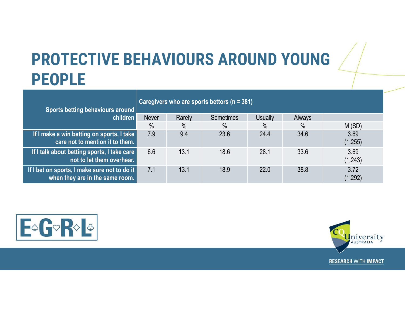### PROTECTIVE BEHAVIOURS AROUND YOUNG PEOPLE

| <b>PROTECTIVE BEHAVIOURS AROUND YOUNG</b>                                       |                                                 |                      |                       |                |              |                          |  |  |
|---------------------------------------------------------------------------------|-------------------------------------------------|----------------------|-----------------------|----------------|--------------|--------------------------|--|--|
| <b>PEOPLE</b>                                                                   |                                                 |                      |                       |                |              |                          |  |  |
| Sports betting behaviours around<br>children                                    | Caregivers who are sports bettors ( $n = 381$ ) |                      |                       |                |              |                          |  |  |
|                                                                                 | Never                                           | Rarely               | Sometimes             | <b>Usually</b> | Always       |                          |  |  |
| If I make a win betting on sports, I take<br>care not to mention it to them.    | $\frac{0}{0}$<br>7.9                            | $\frac{0}{0}$<br>9.4 | $\frac{0}{0}$<br>23.6 | $\%$<br>24.4   | $\%$<br>34.6 | M(SD)<br>3.69<br>(1.255) |  |  |
| If I talk about betting sports, I take care<br>not to let them overhear.        | 6.6                                             | 13.1                 | 18.6                  | 28.1           | 33.6         | 3.69<br>(1.243)          |  |  |
| If I bet on sports, I make sure not to do it<br>when they are in the same room. | 7.1                                             | 13.1                 | 18.9                  | 22.0           | 38.8         | 3.72<br>(1.292)          |  |  |